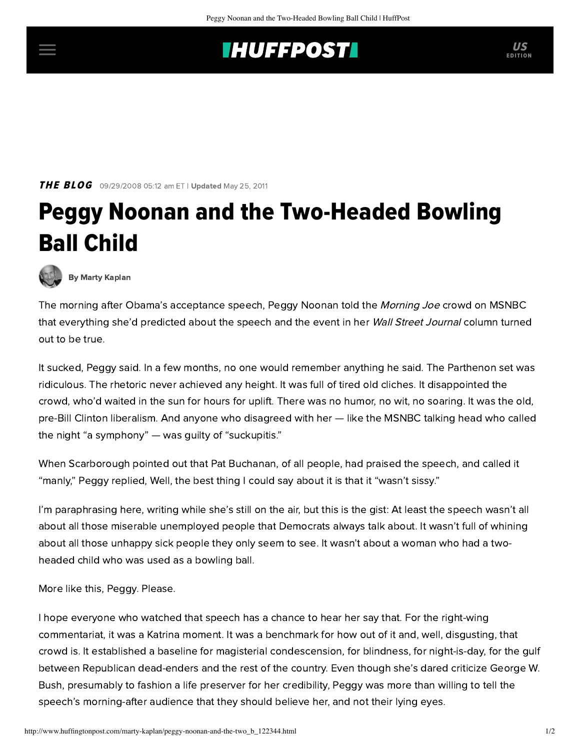## **INUFFPOSTI** US

**THE BLOG** 09/29/2008 05:12 am ET | Updated May 25, 2011

## Peggy Noonan and the Two-Headed Bowling Ball Child



[By Marty Kaplan](http://www.huffingtonpost.com/author/marty-kaplan)

The morning after Obama's acceptance speech, Peggy Noonan told the Morning Joe crowd on MSNBC that everything she'd predicted about the speech and the event in her Wall Street Journal column turned out to be true.

It sucked, Peggy said. In a few months, no one would remember anything he said. The Parthenon set was ridiculous. The rhetoric never achieved any height. It was full of tired old cliches. It disappointed the crowd, who'd waited in the sun for hours for uplift. There was no humor, no wit, no soaring. It was the old, pre-Bill Clinton liberalism. And anyone who disagreed with her — like the MSNBC talking head who called the night "a symphony" — was guilty of "suckupitis."

When Scarborough pointed out that Pat Buchanan, of all people, had praised the speech, and called it "manly," Peggy replied, Well, the best thing I could say about it is that it "wasn't sissy."

I'm paraphrasing here, writing while she's still on the air, but this is the gist: At least the speech wasn't all about all those miserable unemployed people that Democrats always talk about. It wasn't full of whining about all those unhappy sick people they only seem to see. It wasn't about a woman who had a twoheaded child who was used as a bowling ball.

More like this, Peggy. Please.

I hope everyone who watched that speech has a chance to hear her say that. For the right-wing commentariat, it was a Katrina moment. It was a benchmark for how out of it and, well, disgusting, that crowd is. It established a baseline for magisterial condescension, for blindness, for night-is-day, for the gulf between Republican dead-enders and the rest of the country. Even though she's dared criticize George W. Bush, presumably to fashion a life preserver for her credibility, Peggy was more than willing to tell the speech's morning-after audience that they should believe her, and not their lying eyes.